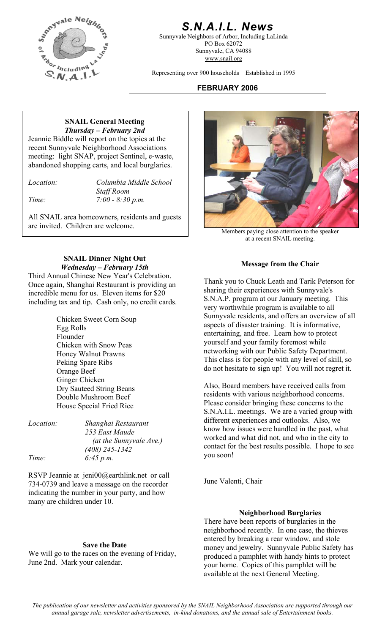

# *S.N.A.I.L. News*

Sunnyvale Neighbors of Arbor, Including LaLinda PO Box 62072 Sunnyvale, CA 94088 www.snail.org

Representing over 900 households Established in 1995

## **FEBRUARY 2006**

#### **SNAIL General Meeting**  *Thursday – February 2nd*

Jeannie Biddle will report on the topics at the recent Sunnyvale Neighborhood Associations meeting: light SNAP, project Sentinel, e-waste, abandoned shopping carts, and local burglaries.

*Location: Columbia Middle School Staff Room Time: 7:00 - 8:30 p.m.* 

All SNAIL area homeowners, residents and guests are invited. Children are welcome.



Members paying close attention to the speaker at a recent SNAIL meeting.

**SNAIL Dinner Night Out**  *Wednesday – February 15th* **Message from the Chair** *Mednesday – February 15th* 

Third Annual Chinese New Year's Celebration. Once again, Shanghai Restaurant is providing an incredible menu for us. Eleven items for \$20 including tax and tip. Cash only, no credit cards.

> Chicken Sweet Corn Soup Egg Rolls Flounder Chicken with Snow Peas Honey Walnut Prawns Peking Spare Ribs Orange Beef Ginger Chicken<br>
> Ory Sauteed String Beans<br>
> Also, Board members have received calls from Dry Sauteed String Beans Double Mushroom Beef House Special Fried Rice

| <i>Location:</i> | Shanghai Restaurant     |
|------------------|-------------------------|
|                  | 253 East Maude          |
|                  | (at the Sunnyvale Ave.) |
|                  | $(408)$ 245-1342        |
| Time:            | 6:45 p.m.               |

RSVP Jeannie at jeni00@earthlink.net or call 734-0739 and leave a message on the recorder indicating the number in your party, and how many are children under 10.

#### **Save the Date**

We will go to the races on the evening of Friday, June 2nd. Mark your calendar.

Thank you to Chuck Leath and Tarik Peterson for sharing their experiences with Sunnyvale's S.N.A.P. program at our January meeting. This very worthwhile program is available to all Sunnyvale residents, and offers an overview of all aspects of disaster training. It is informative, entertaining, and free. Learn how to protect yourself and your family foremost while networking with our Public Safety Department. This class is for people with any level of skill, so do not hesitate to sign up! You will not regret it.

residents with various neighborhood concerns. Please consider bringing these concerns to the S.N.A.I.L. meetings. We are a varied group with different experiences and outlooks. Also, we know how issues were handled in the past, what worked and what did not, and who in the city to contact for the best results possible. I hope to see you soon!

June Valenti, Chair

#### **Neighborhood Burglaries**

There have been reports of burglaries in the neighborhood recently. In one case, the thieves entered by breaking a rear window, and stole money and jewelry. Sunnyvale Public Safety has produced a pamphlet with handy hints to protect your home. Copies of this pamphlet will be available at the next General Meeting.

*The publication of our newsletter and activities sponsored by the SNAIL Neighborhood Association are supported through our annual garage sale, newsletter advertisements, in-kind donations, and the annual sale of Entertainment books.*